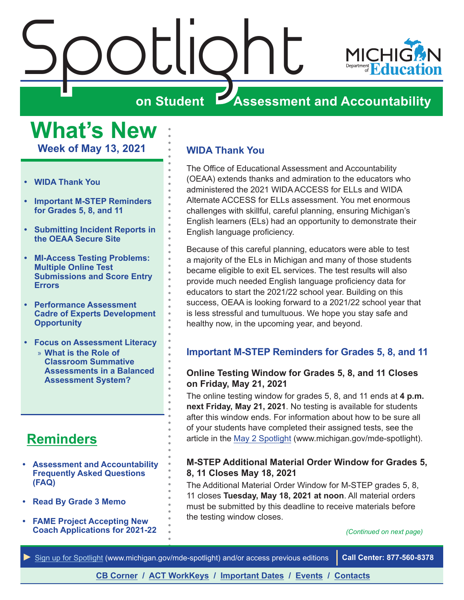<span id="page-0-0"></span>

**What's New Week of May 13, 2021**

- **• WIDA Thank You**
- **• Important M-STEP Reminders for Grades 5, 8, and 11**
- **• [Submitting Incident Reports in](#page-1-0)  [the OEAA Secure Site](#page-1-0)**
- **• [MI-Access Testing Problems:](#page-2-0)  [Multiple Online Test](#page-2-0)  [Submissions and Score Entry](#page-2-0)  [Errors](#page-2-0)**
- **• [Performance Assessment](#page-3-0)  [Cadre of Experts Development](#page-3-0)  [Opportunity](#page-3-0)**
- **• [Focus on Assessment Literacy](#page-6-0)**
	- » **[What is the Role of](#page-6-0)  [Classroom Summative](#page-6-0)  [Assessments in a Balanced](#page-6-0)  [Assessment System?](#page-6-0)**

## **[Reminders](#page-5-0)**

- **• [Assessment and Accountability](#page-5-1)  [Frequently Asked Questions](#page-5-1)  [\(FAQ\)](#page-5-1)**
- **• [Read By Grade 3 Memo](#page-5-1)**
- **• [FAME Project Accepting New](#page-5-1)  [Coach Applications for 2021-22](#page-5-1)**

## **WIDA Thank You**

The Office of Educational Assessment and Accountability (OEAA) extends thanks and admiration to the educators who administered the 2021 WIDA ACCESS for ELLs and WIDA Alternate ACCESS for ELLs assessment. You met enormous challenges with skillful, careful planning, ensuring Michigan's English learners (ELs) had an opportunity to demonstrate their English language proficiency.

Because of this careful planning, educators were able to test a majority of the ELs in Michigan and many of those students became eligible to exit EL services. The test results will also provide much needed English language proficiency data for educators to start the 2021/22 school year. Building on this success, OEAA is looking forward to a 2021/22 school year that is less stressful and tumultuous. We hope you stay safe and healthy now, in the upcoming year, and beyond.

## **Important M-STEP Reminders for Grades 5, 8, and 11**

## **Online Testing Window for Grades 5, 8, and 11 Closes on Friday, May 21, 2021**

The online testing window for grades 5, 8, and 11 ends at **4 p.m. next Friday, May 21, 2021**. No testing is available for students after this window ends. For information about how to be sure all of your students have completed their assigned tests, see the article in the [May 2 Spotlight](https://www.michigan.gov/documents/mde/Spotlight_5-2-19_654086_7.pdf) (www.michigan.gov/mde-spotlight).

### **M-STEP Additional Material Order Window for Grades 5, 8, 11 Closes May 18, 2021**

The Additional Material Order Window for M-STEP grades 5, 8, 11 closes **Tuesday, May 18, 2021 at noon**. All material orders must be submitted by this deadline to receive materials before the testing window closes.

#### *(Continued on next page)*

*►* [Sign up for Spotlight](https://public.govdelivery.com/accounts/MIMDE/subscriber/new) [\(www.michigan.gov/mde](www.michigan.gov/mde-spotlight)-spotlight) and/or access previous editions **Call Center: 877-560-8378**

## **[CB Corner](#page-8-0) / [ACT WorkKeys](#page-10-0) / [Important Dates](#page-11-0) / [Events](#page-12-0) / [Contacts](#page-13-0)**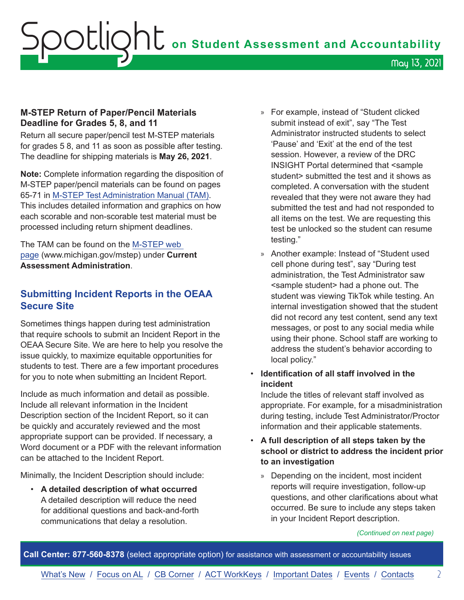## <span id="page-1-0"></span>**M-STEP Return of Paper/Pencil Materials Deadline for Grades 5, 8, and 11**

Return all secure paper/pencil test M-STEP materials for grades 5 8, and 11 as soon as possible after testing. The deadline for shipping materials is **May 26, 2021**.

**Note:** Complete information regarding the disposition of M-STEP paper/pencil materials can be found on pages 65-71 in [M-STEP Test Administration Manual \(TAM\).](https://www.michigan.gov/documents/mde/M-STEP_Test_Administration_Manual_630729_7.pdf) This includes detailed information and graphics on how each scorable and non-scorable test material must be processed including return shipment deadlines.

The TAM can be found on the [M-STEP web](www.michigan.gov/mstep)  [page](www.michigan.gov/mstep) (www.michigan.gov/mstep) under **Current Assessment Administration**.

## **Submitting Incident Reports in the OEAA Secure Site**

Sometimes things happen during test administration that require schools to submit an Incident Report in the OEAA Secure Site. We are here to help you resolve the issue quickly, to maximize equitable opportunities for students to test. There are a few important procedures for you to note when submitting an Incident Report.

Include as much information and detail as possible. Include all relevant information in the Incident Description section of the Incident Report, so it can be quickly and accurately reviewed and the most appropriate support can be provided. If necessary, a Word document or a PDF with the relevant information can be attached to the Incident Report.

Minimally, the Incident Description should include:

• **A detailed description of what occurred**  A detailed description will reduce the need for additional questions and back-and-forth communications that delay a resolution.

- » For example, instead of "Student clicked submit instead of exit", say "The Test Administrator instructed students to select 'Pause' and 'Exit' at the end of the test session. However, a review of the DRC INSIGHT Portal determined that <sample student> submitted the test and it shows as completed. A conversation with the student revealed that they were not aware they had submitted the test and had not responded to all items on the test. We are requesting this test be unlocked so the student can resume testing."
- » Another example: Instead of "Student used cell phone during test", say "During test administration, the Test Administrator saw <sample student> had a phone out. The student was viewing TikTok while testing. An internal investigation showed that the student did not record any test content, send any text messages, or post to any social media while using their phone. School staff are working to address the student's behavior according to local policy."
- **Identification of all staff involved in the incident**

Include the titles of relevant staff involved as appropriate. For example, for a misadministration during testing, include Test Administrator/Proctor information and their applicable statements.

- **A full description of all steps taken by the school or district to address the incident prior to an investigation** 
	- » Depending on the incident, most incident reports will require investigation, follow-up questions, and other clarifications about what occurred. Be sure to include any steps taken in your Incident Report description.

*(Continued on next page)*

**Call Center: 877-560-8378** (select appropriate option) for assistance with assessment or accountability issues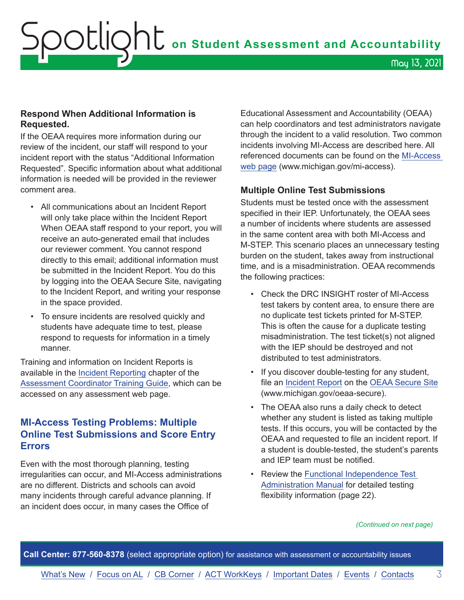## <span id="page-2-0"></span>**Respond When Additional Information is Requested.**

If the OEAA requires more information during our review of the incident, our staff will respond to your incident report with the status "Additional Information Requested". Specific information about what additional information is needed will be provided in the reviewer comment area.

- All communications about an Incident Report will only take place within the Incident Report When OEAA staff respond to your report, you will receive an auto-generated email that includes our reviewer comment. You cannot respond directly to this email; additional information must be submitted in the Incident Report. You do this by logging into the OEAA Secure Site, navigating to the Incident Report, and writing your response in the space provided.
- To ensure incidents are resolved quickly and students have adequate time to test, please respond to requests for information in a timely manner.

Training and information on Incident Reports is available in the [Incident Reporting](https://www.michigan.gov/documents/mde/Incident_Reporting_634695_7.pdf) chapter of the [Assessment Coordinator Training Guide](https://www.michigan.gov/mde/0,4615,7-140-22709_63192-476290--,00.html), which can be accessed on any assessment web page.

## **MI-Access Testing Problems: Multiple Online Test Submissions and Score Entry Errors**

Even with the most thorough planning, testing irregularities can occur, and MI-Access administrations are no different. Districts and schools can avoid many incidents through careful advance planning. If an incident does occur, in many cases the Office of

Educational Assessment and Accountability (OEAA) can help coordinators and test administrators navigate through the incident to a valid resolution. Two common incidents involving MI-Access are described here. All referenced documents can be found on the [MI-Access](http://www.michigan.gov/mi-access)  [web page](http://www.michigan.gov/mi-access) (www.michigan.gov/mi-access).

## **Multiple Online Test Submissions**

Students must be tested once with the assessment specified in their IEP. Unfortunately, the OEAA sees a number of incidents where students are assessed in the same content area with both MI-Access and M-STEP. This scenario places an unnecessary testing burden on the student, takes away from instructional time, and is a misadministration. OEAA recommends the following practices:

- Check the DRC INSIGHT roster of MI-Access test takers by content area, to ensure there are no duplicate test tickets printed for M-STEP. This is often the cause for a duplicate testing misadministration. The test ticket(s) not aligned with the IEP should be destroyed and not distributed to test administrators.
- If you discover double-testing for any student, file an [Incident Report](https://www.michigan.gov/documents/mde/Incident_Reporting_for_M-STEP_520328_7_557253_7.pdf) on the [OEAA Secure Site](http://www.michigan.gov/oeaa-secure) (www.michigan.gov/oeaa-secure).
- The OEAA also runs a daily check to detect whether any student is listed as taking multiple tests. If this occurs, you will be contacted by the OEAA and requested to file an incident report. If a student is double-tested, the student's parents and IEP team must be notified.
- Review the [Functional Independence Test](https://www.michigan.gov/documents/mde/MI-ACCESS_Functional_Independence_TAM_635412_7.pdf)  [Administration Manual](https://www.michigan.gov/documents/mde/MI-ACCESS_Functional_Independence_TAM_635412_7.pdf) for detailed testing flexibility information (page 22).

*(Continued on next page)*

**Call Center: 877-560-8378** (select appropriate option) for assistance with assessment or accountability issues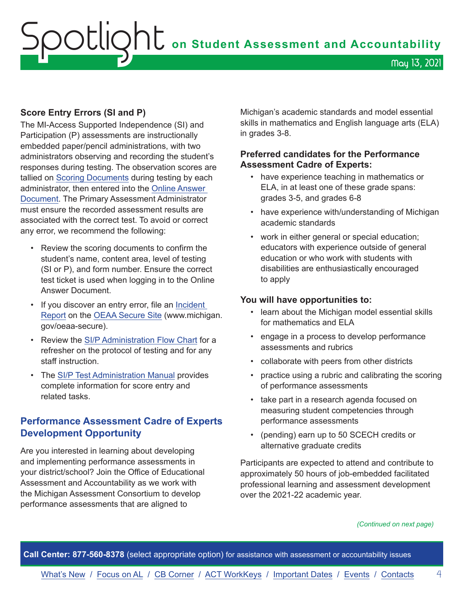## <span id="page-3-0"></span>OOUQhU on Student Assessment and Accountability May 13, 2021

## **Score Entry Errors (SI and P)**

The MI-Access Supported Independence (SI) and Participation (P) assessments are instructionally embedded paper/pencil administrations, with two administrators observing and recording the student's responses during testing. The observation scores are tallied on [Scoring Documents](https://www.michigan.gov/mde/0,4615,7-140-22709_28463-373595--,00.html) during testing by each administrator, then entered into the [Online Answer](https://www.michigan.gov/documents/mde/P-SI_Online_Answer_Document_-_Instructions_522454_7.pdf)  [Document](https://www.michigan.gov/documents/mde/P-SI_Online_Answer_Document_-_Instructions_522454_7.pdf). The Primary Assessment Administrator must ensure the recorded assessment results are associated with the correct test. To avoid or correct any error, we recommend the following:

- Review the scoring documents to confirm the student's name, content area, level of testing (SI or P), and form number. Ensure the correct test ticket is used when logging in to the Online Answer Document.
- If you discover an entry error, file an [Incident](https://www.michigan.gov/documents/mde/Incident_Reporting_for_M-STEP_520328_7_557253_7.pdf)  [Report](https://www.michigan.gov/documents/mde/Incident_Reporting_for_M-STEP_520328_7_557253_7.pdf) on the [OEAA Secure Site](http://www.michigan.gov/oeaa-secure) (www.michigan. gov/oeaa-secure).
- Review the [SI/P Administration Flow Chart](https://www.michigan.gov/documents/mde/MI-Access_P_SI_Assessment_Administration_Flow_Chart_644346_7.pdf) for a refresher on the protocol of testing and for any staff instruction.
- The [SI/P Test Administration Manual](https://www.michigan.gov/documents/mde/Participation_and_Supported_Independence_TAM_635414_7.pdf) provides complete information for score entry and related tasks.

## **Performance Assessment Cadre of Experts Development Opportunity**

Are you interested in learning about developing and implementing performance assessments in your district/school? Join the Office of Educational Assessment and Accountability as we work with the Michigan Assessment Consortium to develop performance assessments that are aligned to

Michigan's academic standards and model essential skills in mathematics and English language arts (ELA) in grades 3-8.

## **Preferred candidates for the Performance Assessment Cadre of Experts:**

- have experience teaching in mathematics or ELA, in at least one of these grade spans: grades 3-5, and grades 6-8
- have experience with/understanding of Michigan academic standards
- work in either general or special education; educators with experience outside of general education or who work with students with disabilities are enthusiastically encouraged to apply

## **You will have opportunities to:**

- learn about the Michigan model essential skills for mathematics and ELA
- engage in a process to develop performance assessments and rubrics
- collaborate with peers from other districts
- practice using a rubric and calibrating the scoring of performance assessments
- take part in a research agenda focused on measuring student competencies through performance assessments
- (pending) earn up to 50 SCECH credits or alternative graduate credits

Participants are expected to attend and contribute to approximately 50 hours of job-embedded facilitated professional learning and assessment development over the 2021-22 academic year.

#### *(Continued on next page)*

**Call Center: 877-560-8378** (select appropriate option) for assistance with assessment or accountability issues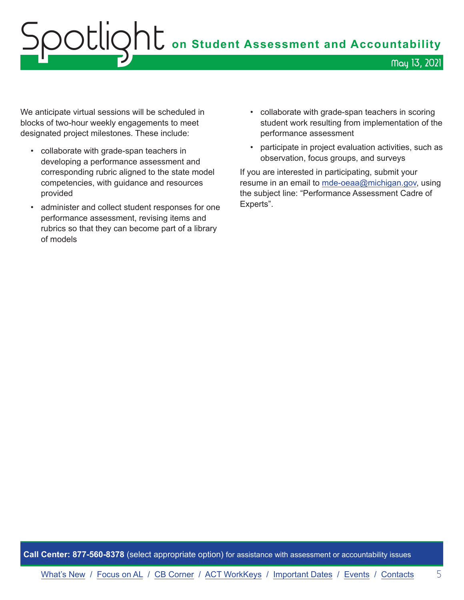## OOUQht on Student Assessment and Accountability May 13, 2021

We anticipate virtual sessions will be scheduled in blocks of two-hour weekly engagements to meet designated project milestones. These include:

- collaborate with grade-span teachers in developing a performance assessment and corresponding rubric aligned to the state model competencies, with guidance and resources provided
- administer and collect student responses for one performance assessment, revising items and rubrics so that they can become part of a library of models
- collaborate with grade-span teachers in scoring student work resulting from implementation of the performance assessment
- participate in project evaluation activities, such as observation, focus groups, and surveys

If you are interested in participating, submit your resume in an email to [mde-oeaa@michigan.gov,](mailto:mde-oeaa%40michigan.gov?subject=Performance%20Assessment%20Cadre%20of%20Experts) using the subject line: "Performance Assessment Cadre of Experts".

**Call Center: 877-560-8378** (select appropriate option) for assistance with assessment or accountability issues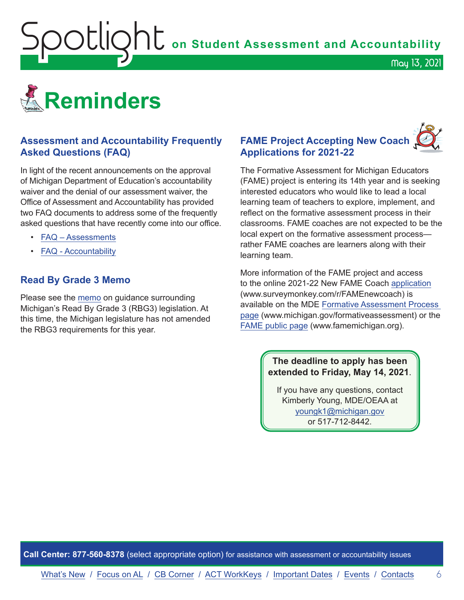

<span id="page-5-1"></span><span id="page-5-0"></span>

## **Assessment and Accountability Frequently Asked Questions (FAQ)**

In light of the recent announcements on the approval of Michigan Department of Education's accountability waiver and the denial of our assessment waiver, the Office of Assessment and Accountability has provided two FAQ documents to address some of the frequently asked questions that have recently come into our office.

- [FAQ Assessments](https://www.michigan.gov/documents/mde/Spring_2021_Summative_Assessments_FAQ_721789_7.pdf)
- **[FAQ Accountability](https://www.michigan.gov/documents/mde/Michigan_School_Accountability_Planning_and_Response_to_COVID-19_701197_7.pdf)**

## **Read By Grade 3 Memo**

Please see the [memo](https://www.michigan.gov/documents/mde/RBG3_Communicating_Parents_722309_7.pdf) on guidance surrounding Michigan's Read By Grade 3 (RBG3) legislation. At this time, the Michigan legislature has not amended the RBG3 requirements for this year.

## **FAME Project Accepting New Coach Applications for 2021-22**

The Formative Assessment for Michigan Educators (FAME) project is entering its 14th year and is seeking interested educators who would like to lead a local learning team of teachers to explore, implement, and reflect on the formative assessment process in their classrooms. FAME coaches are not expected to be the local expert on the formative assessment process rather FAME coaches are learners along with their learning team.

More information of the FAME project and access to the online 2021-22 New FAME Coach [application](https://www.surveymonkey.com/r/FAMEnewcoach) (www.surveymonkey.com/r/FAMEnewcoach) is available on the MDE [Formative Assessment Process](http://www.michigan.gov/formativeassessment)  [page](http://www.michigan.gov/formativeassessment) (www.michigan.gov/formativeassessment) or the [FAME public page](http://www.FAMEMichigan.org) (www.famemichigan.org).

## **The deadline to apply has been extended to Friday, May 14, 2021**.

If you have any questions, contact Kimberly Young, MDE/OEAA at [youngk1@michigan.gov](mailto:youngk1%40michigan.gov?subject=) or 517-712-8442.

**Call Center: 877-560-8378** (select appropriate option) for assistance with assessment or accountability issues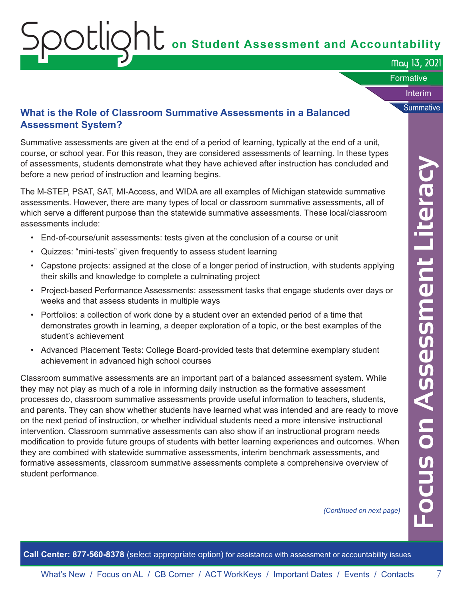# <span id="page-6-0"></span> $\overline{S}$  **OCLIQNL** on Student Assessment and Accountability

May 13, 2021

Interim

**Summative** 

#### **Formative**

## **What is the Role of Classroom Summative Assessments in a Balanced Assessment System?**

Summative assessments are given at the end of a period of learning, typically at the end of a unit, course, or school year. For this reason, they are considered assessments of learning. In these types of assessments, students demonstrate what they have achieved after instruction has concluded and before a new period of instruction and learning begins.

The M-STEP, PSAT, SAT, MI-Access, and WIDA are all examples of Michigan statewide summative assessments. However, there are many types of local or classroom summative assessments, all of which serve a different purpose than the statewide summative assessments. These local/classroom assessments include:

- End-of-course/unit assessments: tests given at the conclusion of a course or unit
- Quizzes: "mini-tests" given frequently to assess student learning
- Capstone projects: assigned at the close of a longer period of instruction, with students applying their skills and knowledge to complete a culminating project
- Project-based Performance Assessments: assessment tasks that engage students over days or weeks and that assess students in multiple ways
- Portfolios: a collection of work done by a student over an extended period of a time that demonstrates growth in learning, a deeper exploration of a topic, or the best examples of the student's achievement
- Advanced Placement Tests: College Board-provided tests that determine exemplary student achievement in advanced high school courses

Classroom summative assessments are an important part of a balanced assessment system. While they may not play as much of a role in informing daily instruction as the formative assessment processes do, classroom summative assessments provide useful information to teachers, students, and parents. They can show whether students have learned what was intended and are ready to move on the next period of instruction, or whether individual students need a more intensive instructional intervention. Classroom summative assessments can also show if an instructional program needs modification to provide future groups of students with better learning experiences and outcomes. When they are combined with statewide summative assessments, interim benchmark assessments, and formative assessments, classroom summative assessments complete a comprehensive overview of student performance.

*(Continued on next page)*

**Focus on Assessment Literacy** ocus on Assessment Literacy

**Call Center: 877-560-8378** (select appropriate option) for assistance with assessment or accountability issues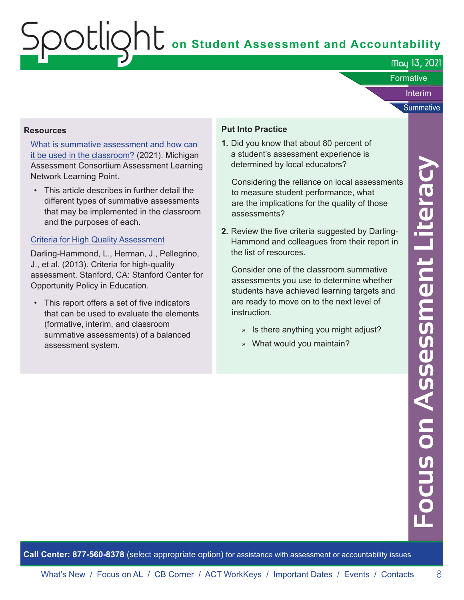May 13, 2021

**Formative** 

Interim

**Summative** 

#### **Resources**

[What is summative assessment and how can](https://www.michiganassessmentconsortium.org/wp-content/uploads/2019_May_WHAT-ARE-SUMMATIVE-ASSESSMENTS3.pdf)  [it be used in the classroom?](https://www.michiganassessmentconsortium.org/wp-content/uploads/2019_May_WHAT-ARE-SUMMATIVE-ASSESSMENTS3.pdf) (2021). Michigan Assessment Consortium Assessment Learning Network Learning Point.

• This article describes in further detail the different types of summative assessments that may be implemented in the classroom and the purposes of each.

#### [Criteria for High Quality Assessment](https://edpolicy.stanford.edu/sites/default/files/publications/criteria-higher-quality-assessment_2.pdf)

Darling-Hammond, L., Herman, J., Pellegrino, J., et al. (2013). Criteria for high-quality assessment. Stanford, CA: Stanford Center for Opportunity Policy in Education.

• This report offers a set of five indicators that can be used to evaluate the elements (formative, interim, and classroom summative assessments) of a balanced assessment system.

### **Put Into Practice**

**1.** Did you know that about 80 percent of a student's assessment experience is determined by local educators?

Considering the reliance on local assessments to measure student performance, what are the implications for the quality of those assessments?

**2.** Review the five criteria suggested by Darling-Hammond and colleagues from their report in the list of resources.

Consider one of the classroom summative assessments you use to determine whether students have achieved learning targets and are ready to move on to the next level of instruction.

- » Is there anything you might adjust?
- » What would you maintain?

**Focus on Assessment Literacy** ocus on Assessment Literacy

**Call Center: 877-560-8378** (select appropriate option) for assistance with assessment or accountability issues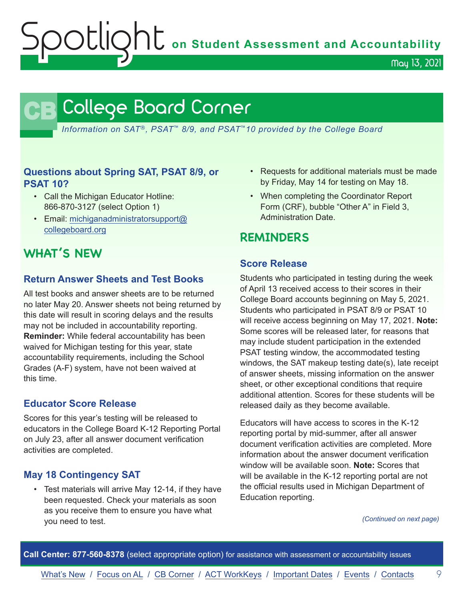May 13, 2021

## **CB** College Board Corner

<span id="page-8-0"></span>*Information on SAT*®*, PSAT*™ *8/9, and PSAT*™*10 provided by the College Board*

## **Questions about Spring SAT, PSAT 8/9, or PSAT 10?**

- Call the Michigan Educator Hotline: 866-870-3127 (select Option 1)
- Email: [michiganadministratorsupport@](mailto:michiganadministratorsupport%40collegeboard.org?subject=) [collegeboard.org](mailto:michiganadministratorsupport%40collegeboard.org?subject=)

## **WHAT'S NEW**

## **Return Answer Sheets and Test Books**

All test books and answer sheets are to be returned no later May 20. Answer sheets not being returned by this date will result in scoring delays and the results may not be included in accountability reporting. **Reminder:** While federal accountability has been waived for Michigan testing for this year, state accountability requirements, including the School Grades (A-F) system, have not been waived at this time.

## **Educator Score Release**

Scores for this year's testing will be released to educators in the College Board K-12 Reporting Portal on July 23, after all answer document verification activities are completed.

## **May 18 Contingency SAT**

• Test materials will arrive May 12-14, if they have been requested. Check your materials as soon as you receive them to ensure you have what you need to test.

- Requests for additional materials must be made by Friday, May 14 for testing on May 18.
- When completing the Coordinator Report Form (CRF), bubble "Other A" in Field 3, Administration Date.

## **REMINDERS**

### **Score Release**

Students who participated in testing during the week of April 13 received access to their scores in their College Board accounts beginning on May 5, 2021. Students who participated in PSAT 8/9 or PSAT 10 will receive access beginning on May 17, 2021. **Note:** Some scores will be released later, for reasons that may include student participation in the extended PSAT testing window, the accommodated testing windows, the SAT makeup testing date(s), late receipt of answer sheets, missing information on the answer sheet, or other exceptional conditions that require additional attention. Scores for these students will be released daily as they become available.

Educators will have access to scores in the K-12 reporting portal by mid-summer, after all answer document verification activities are completed. More information about the answer document verification window will be available soon. **Note:** Scores that will be available in the K-12 reporting portal are not the official results used in Michigan Department of Education reporting.

*(Continued on next page)*

**Call Center: 877-560-8378** (select appropriate option) for assistance with assessment or accountability issues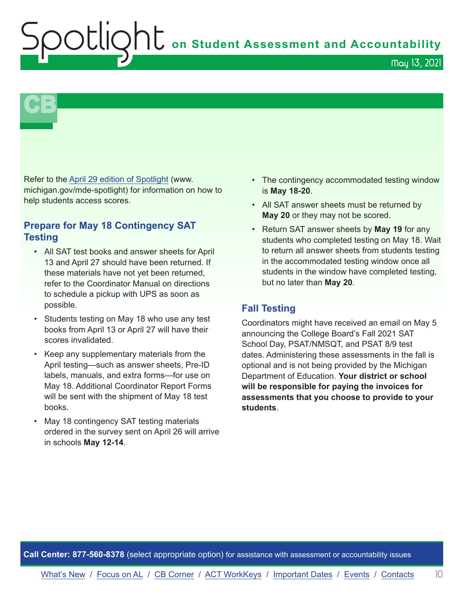**Shums** on Student Assessment and Accountability

May 13, 2021

**CB** 

Refer to the [April 29 edition of Spotlight](https://www.michigan.gov/documents/mde/Spotlight_4-29-21_723763_7.pdf) (www. michigan.gov/mde-spotlight) for information on how to help students access scores.

## **Prepare for May 18 Contingency SAT Testing**

- All SAT test books and answer sheets for April 13 and April 27 should have been returned. If these materials have not yet been returned, refer to the Coordinator Manual on directions to schedule a pickup with UPS as soon as possible.
- Students testing on May 18 who use any test books from April 13 or April 27 will have their scores invalidated.
- Keep any supplementary materials from the April testing—such as answer sheets, Pre-ID labels, manuals, and extra forms—for use on May 18. Additional Coordinator Report Forms will be sent with the shipment of May 18 test books.
- May 18 contingency SAT testing materials ordered in the survey sent on April 26 will arrive in schools **May 12-14**.
- The contingency accommodated testing window is **May 18-20**.
- All SAT answer sheets must be returned by **May 20** or they may not be scored.
- Return SAT answer sheets by **May 19** for any students who completed testing on May 18. Wait to return all answer sheets from students testing in the accommodated testing window once all students in the window have completed testing, but no later than **May 20**.

## **Fall Testing**

Coordinators might have received an email on May 5 announcing the College Board's Fall 2021 SAT School Day, PSAT/NMSQT, and PSAT 8/9 test dates. Administering these assessments in the fall is optional and is not being provided by the Michigan Department of Education. **Your district or school will be responsible for paying the invoices for assessments that you choose to provide to your students**.

**Call Center: 877-560-8378** (select appropriate option) for assistance with assessment or accountability issues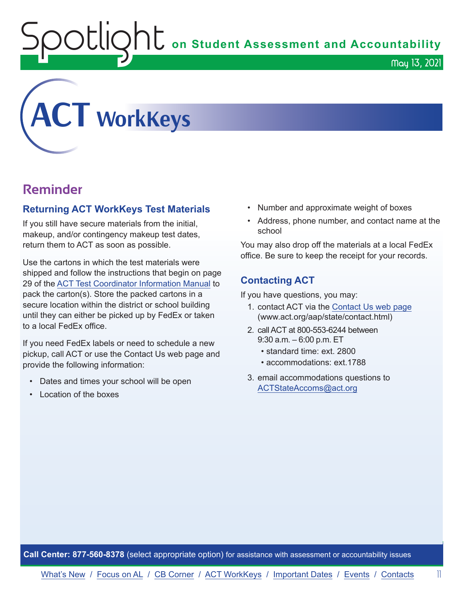$\nabla$   $\Box$   $\Box$   $\Box$   $\Box$   $\Box$  on Student Assessment and Accountability

<span id="page-10-0"></span>

## **Reminder**

## **Returning ACT WorkKeys Test Materials**

If you still have secure materials from the initial, makeup, and/or contingency makeup test dates, return them to ACT as soon as possible.

Use the cartons in which the test materials were shipped and follow the instructions that begin on page 29 of the [ACT Test Coordinator Information Manual](https://www.act.org/content/dam/act/secured/documents/pdfs/state-district-test-coordinator-paper-test.pdf) to pack the carton(s). Store the packed cartons in a secure location within the district or school building until they can either be picked up by FedEx or taken to a local FedEx office.

If you need FedEx labels or need to schedule a new pickup, call ACT or use the Contact Us web page and provide the following information:

- Dates and times your school will be open
- Location of the boxes
- Number and approximate weight of boxes
- Address, phone number, and contact name at the school

May 13, 2021

You may also drop off the materials at a local FedEx office. Be sure to keep the receipt for your records.

## **Contacting ACT**

If you have questions, you may:

- 1. contact ACT via the [Contact Us web page](http://www.act.org/aap/state/contact.html) ([www.act.org/aap/state/contact.html](https://www.act.org/aap/state/contact.html))
- 2. call ACT at 800-553-6244 between 9:30 a.m. – 6:00 p.m. ET
	- standard time: ext. 2800
	- accommodations: ext.1788
- 3. email accommodations questions to [ACTStateAccoms@act.org](mailto:ACTStateAccoms%40act.org?subject=)

**Call Center: 877-560-8378** (select appropriate option) for assistance with assessment or accountability issues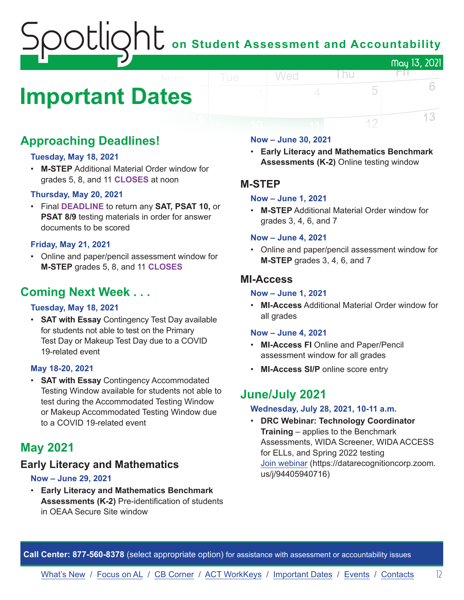## on Student Assessment and Accountability May 13, 2021

## <span id="page-11-0"></span>**Important Dates**

## **Approaching Deadlines!**

## **Tuesday, May 18, 2021**

• **M-STEP** Additional Material Order window for grades 5, 8, and 11 **CLOSES** at noon

### **Thursday, May 20, 2021**

• Final **DEADLINE** to return any **SAT, PSAT 10,** or **PSAT 8/9** testing materials in order for answer documents to be scored

### **Friday, May 21, 2021**

• Online and paper/pencil assessment window for **M-STEP** grades 5, 8, and 11 **CLOSES**

## **Coming Next Week . . .**

## **Tuesday, May 18, 2021**

• **SAT with Essay** Contingency Test Day available for students not able to test on the Primary Test Day or Makeup Test Day due to a COVID 19-related event

### **May 18-20, 2021**

• **SAT with Essay** Contingency Accommodated Testing Window available for students not able to test during the Accommodated Testing Window or Makeup Accommodated Testing Window due to a COVID 19-related event

## **May 2021**

## **Early Literacy and Mathematics**

### **Now – June 29, 2021**

• **Early Literacy and Mathematics Benchmark Assessments (K-2)** Pre-identification of students in OEAA Secure Site window

### **Now – June 30, 2021**

Wed

• **Early Literacy and Mathematics Benchmark Assessments (K-2)** Online testing window

l nu

FП.

5

12

6

13

## **M-STEP**

### **Now – June 1, 2021**

• **M-STEP** Additional Material Order window for grades 3, 4, 6, and 7

#### **Now – June 4, 2021**

• Online and paper/pencil assessment window for **M-STEP** grades 3, 4, 6, and 7

## **MI-Access**

### **Now – June 1, 2021**

• **MI-Access** Additional Material Order window for all grades

### **Now – June 4, 2021**

- **MI-Access FI** Online and Paper/Pencil assessment window for all grades
- **MI-Access SI/P** online score entry

## **June/July 2021**

#### **Wednesday, July 28, 2021, 10-11 a.m.**

• **DRC Webinar: Technology Coordinator Training** – applies to the Benchmark Assessments, WIDA Screener, WIDA ACCESS for ELLs, and Spring 2022 testing [Join webinar](https://datarecognitioncorp.zoom.us/j/94405940716) (https://datarecognitioncorp.zoom. us/j/94405940716)

**Call Center: 877-560-8378** (select appropriate option) for assistance with assessment or accountability issues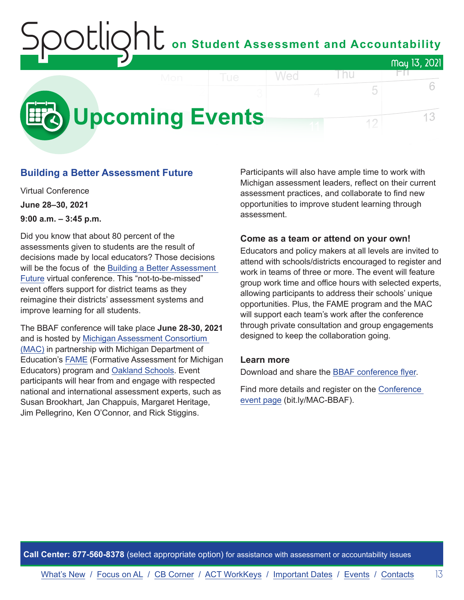## on Student Assessment and Accountability May 13, 2021 Wed l nu FП.

<span id="page-12-0"></span>

## **Building a Better Assessment Future**

Virtual Conference **June 28–30, 2021 9:00 a.m. – 3:45 p.m.**

Did you know that about 80 percent of the assessments given to students are the result of decisions made by local educators? Those decisions will be the focus of the [Building a Better Assessment](https://www.michiganassessmentconsortium.org/event/building-a-better-assessment-future/)  [Future](https://www.michiganassessmentconsortium.org/event/building-a-better-assessment-future/) virtual conference. This "not-to-be-missed" event offers support for district teams as they reimagine their districts' assessment systems and improve learning for all students.

The BBAF conference will take place **June 28-30, 2021** and is hosted by [Michigan Assessment Consortium](http://www.michiganassessmentconsortium.org/)  [\(MAC\)](http://www.michiganassessmentconsortium.org/) in partnership with Michigan Department of Education's [FAME](http://www.famemichigan.org/) (Formative Assessment for Michigan Educators) program and [Oakland Schools.](https://www.oakland.k12.mi.us/) Event participants will hear from and engage with respected national and international assessment experts, such as Susan Brookhart, Jan Chappuis, Margaret Heritage, Jim Pellegrino, Ken O'Connor, and Rick Stiggins.

Participants will also have ample time to work with Michigan assessment leaders, reflect on their current assessment practices, and collaborate to find new opportunities to improve student learning through assessment.

5

12

6

13

### **Come as a team or attend on your own!**

Educators and policy makers at all levels are invited to attend with schools/districts encouraged to register and work in teams of three or more. The event will feature group work time and office hours with selected experts, allowing participants to address their schools' unique opportunities. Plus, the FAME program and the MAC will support each team's work after the conference through private consultation and group engagements designed to keep the collaboration going.

### **Learn more**

Download and share the [BBAF conference flyer.](https://www.michiganassessmentconsortium.org/wp-content/uploads/BBAF-Flyer-1.pdf)

Find more details and register on the [Conference](https://www.michiganassessmentconsortium.org/event/building-a-better-assessment-future/)  [event page](https://www.michiganassessmentconsortium.org/event/building-a-better-assessment-future/) (bit.ly/MAC-BBAF).

**Call Center: 877-560-8378** (select appropriate option) for assistance with assessment or accountability issues